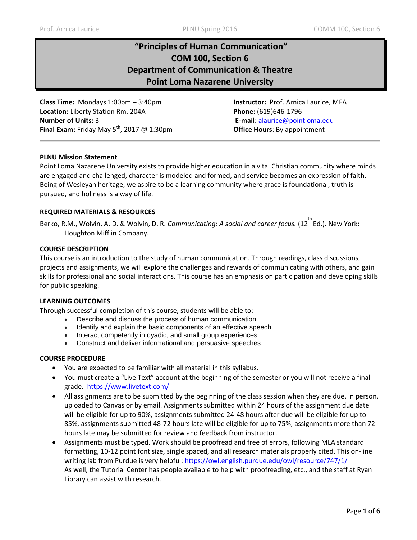# **"Principles of Human Communication" COM 100, Section 6 Department of Communication & Theatre Point Loma Nazarene University**

**Class Time:** Mondays 1:00pm – 3:40pm **Instructor:** Prof. Arnica Laurice, MFA **Location:** Liberty Station Rm. 204A **Phone:** (619)646-1796 **Number of Units:** 3 **E-mail**: [alaurice@pointloma.edu](mailto:alaurice@pointloma.edu)  **Final Exam:** Friday May 5<sup>th</sup>, 2017 @ 1:30pm **Office Hours**: By appointment

## **PLNU Mission Statement**

Point Loma Nazarene University exists to provide higher education in a vital Christian community where minds are engaged and challenged, character is modeled and formed, and service becomes an expression of faith. Being of Wesleyan heritage, we aspire to be a learning community where grace is foundational, truth is pursued, and holiness is a way of life.

## **REQUIRED MATERIALS & RESOURCES**

Berko, R.M., Wolvin, A. D. & Wolvin, D. R. *Communicating: A social and career focus.* (12<sup>th</sup>Ed.). New York: Houghton Mifflin Company.

## **COURSE DESCRIPTION**

This course is an introduction to the study of human communication. Through readings, class discussions, projects and assignments, we will explore the challenges and rewards of communicating with others, and gain skills for professional and social interactions. This course has an emphasis on participation and developing skills for public speaking.

#### **LEARNING OUTCOMES**

Through successful completion of this course, students will be able to:

- Describe and discuss the process of human communication.
- Identify and explain the basic components of an effective speech.
- Interact competently in dyadic, and small group experiences.
- Construct and deliver informational and persuasive speeches.

#### **COURSE PROCEDURE**

- You are expected to be familiar with all material in this syllabus.
- You must create a "Live Text" account at the beginning of the semester or you will not receive a final grade. <https://www.livetext.com/>
- All assignments are to be submitted by the beginning of the class session when they are due, in person, uploaded to Canvas or by email. Assignments submitted within 24 hours of the assignment due date will be eligible for up to 90%, assignments submitted 24-48 hours after due will be eligible for up to 85%, assignments submitted 48-72 hours late will be eligible for up to 75%, assignments more than 72 hours late may be submitted for review and feedback from instructor.
- Assignments must be typed. Work should be proofread and free of errors, following MLA standard formatting, 10-12 point font size, single spaced, and all research materials properly cited. This on-line writing lab from Purdue is very helpful:<https://owl.english.purdue.edu/owl/resource/747/1/> As well, the Tutorial Center has people available to help with proofreading, etc., and the staff at Ryan Library can assist with research.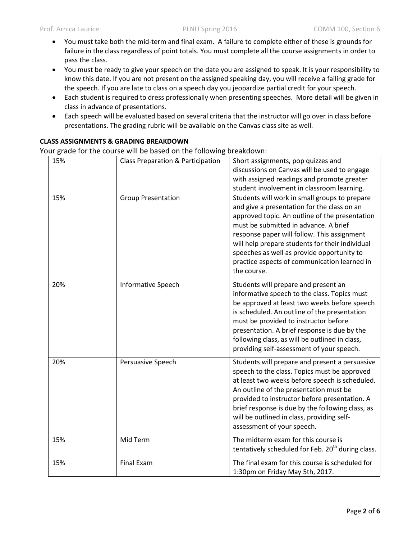- You must take both the mid-term and final exam. A failure to complete either of these is grounds for failure in the class regardless of point totals. You must complete all the course assignments in order to pass the class.
- You must be ready to give your speech on the date you are assigned to speak. It is your responsibility to know this date. If you are not present on the assigned speaking day, you will receive a failing grade for the speech. If you are late to class on a speech day you jeopardize partial credit for your speech.
- Each student is required to dress professionally when presenting speeches. More detail will be given in class in advance of presentations.
- Each speech will be evaluated based on several criteria that the instructor will go over in class before presentations. The grading rubric will be available on the Canvas class site as well.

# **CLASS ASSIGNMENTS & GRADING BREAKDOWN**

Your grade for the course will be based on the following breakdown:

| 15% | Class Preparation & Participation | Short assignments, pop quizzes and                                                                                                                                                                                                                                                                                                                                                                     |  |
|-----|-----------------------------------|--------------------------------------------------------------------------------------------------------------------------------------------------------------------------------------------------------------------------------------------------------------------------------------------------------------------------------------------------------------------------------------------------------|--|
|     |                                   | discussions on Canvas will be used to engage                                                                                                                                                                                                                                                                                                                                                           |  |
|     |                                   | with assigned readings and promote greater                                                                                                                                                                                                                                                                                                                                                             |  |
|     |                                   | student involvement in classroom learning.                                                                                                                                                                                                                                                                                                                                                             |  |
| 15% | <b>Group Presentation</b>         | Students will work in small groups to prepare<br>and give a presentation for the class on an<br>approved topic. An outline of the presentation<br>must be submitted in advance. A brief<br>response paper will follow. This assignment<br>will help prepare students for their individual<br>speeches as well as provide opportunity to<br>practice aspects of communication learned in<br>the course. |  |
| 20% | <b>Informative Speech</b>         | Students will prepare and present an<br>informative speech to the class. Topics must<br>be approved at least two weeks before speech<br>is scheduled. An outline of the presentation<br>must be provided to instructor before<br>presentation. A brief response is due by the<br>following class, as will be outlined in class,<br>providing self-assessment of your speech.                           |  |
| 20% | Persuasive Speech                 | Students will prepare and present a persuasive<br>speech to the class. Topics must be approved<br>at least two weeks before speech is scheduled.<br>An outline of the presentation must be<br>provided to instructor before presentation. A<br>brief response is due by the following class, as<br>will be outlined in class, providing self-<br>assessment of your speech.                            |  |
| 15% | Mid Term                          | The midterm exam for this course is<br>tentatively scheduled for Feb. 20 <sup>th</sup> during class.                                                                                                                                                                                                                                                                                                   |  |
| 15% | <b>Final Exam</b>                 | The final exam for this course is scheduled for<br>1:30pm on Friday May 5th, 2017.                                                                                                                                                                                                                                                                                                                     |  |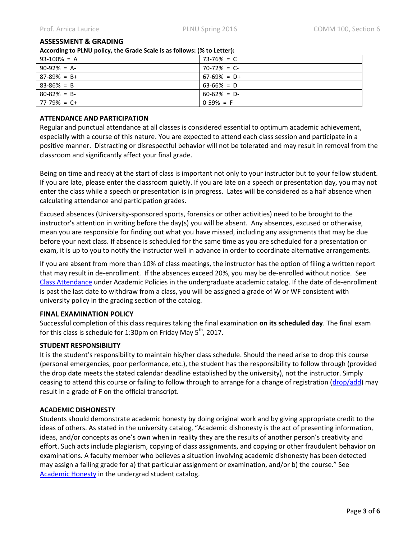#### **ASSESSMENT & GRADING**

**According to PLNU policy, the Grade Scale is as follows: (% to Letter):** 

| $93-100\% = A$  | $73 - 76\% = C$ |  |  |  |
|-----------------|-----------------|--|--|--|
| $90-92\% = A$   | $70-72\% = C$   |  |  |  |
| $87-89\% = B+$  | $67-69\% = D+$  |  |  |  |
| $83 - 86\% = B$ | $63-66\% = D$   |  |  |  |
| $80 - 82\% = B$ | $60-62\% = D$   |  |  |  |
| $77-79\% = C+$  | $0-59\% = F$    |  |  |  |

# **ATTENDANCE AND PARTICIPATION**

Regular and punctual attendance at all classes is considered essential to optimum academic achievement, especially with a course of this nature. You are expected to attend each class session and participate in a positive manner. Distracting or disrespectful behavior will not be tolerated and may result in removal from the classroom and significantly affect your final grade.

Being on time and ready at the start of class is important not only to your instructor but to your fellow student. If you are late, please enter the classroom quietly. If you are late on a speech or presentation day, you may not enter the class while a speech or presentation is in progress. Lates will be considered as a half absence when calculating attendance and participation grades.

Excused absences (University-sponsored sports, forensics or other activities) need to be brought to the instructor's attention in writing before the day(s) you will be absent. Any absences, excused or otherwise, mean you are responsible for finding out what you have missed, including any assignments that may be due before your next class. If absence is scheduled for the same time as you are scheduled for a presentation or exam, it is up to you to notify the instructor well in advance in order to coordinate alternative arrangements.

If you are absent from more than 10% of class meetings, the instructor has the option of filing a written report that may result in de-enrollment. If the absences exceed 20%, you may be de-enrolled without notice. See [Class Attendance](http://catalog.pointloma.edu/content.php?catoid=18&navoid=1278#Class_Attendance) under Academic Policies in the undergraduate academic catalog. If the date of de-enrollment is past the last date to withdraw from a class, you will be assigned a grade of W or WF consistent with university policy in the grading section of the catalog.

#### **FINAL EXAMINATION POLICY**

Successful completion of this class requires taking the final examination **on its scheduled day**. The final exam for this class is schedule for 1:30pm on Friday May  $5^{th}$ , 2017.

#### **STUDENT RESPONSIBILITY**

It is the student's responsibility to maintain his/her class schedule. Should the need arise to drop this course (personal emergencies, poor performance, etc.), the student has the responsibility to follow through (provided the drop date meets the stated calendar deadline established by the university), not the instructor. Simply ceasing to attend this course or failing to follow through to arrange for a change of registration [\(drop/add\)](http://www.pointloma.edu/sites/default/files/filemanager/Records_Office/Change_of_Schedule_Form.pdf) may result in a grade of F on the official transcript.

# **ACADEMIC DISHONESTY**

Students should demonstrate academic honesty by doing original work and by giving appropriate credit to the ideas of others. As stated in the university catalog, "Academic dishonesty is the act of presenting information, ideas, and/or concepts as one's own when in reality they are the results of another person's creativity and effort. Such acts include plagiarism, copying of class assignments, and copying or other fraudulent behavior on examinations. A faculty member who believes a situation involving academic dishonesty has been detected may assign a failing grade for a) that particular assignment or examination, and/or b) the course." See [Academic Honesty](http://catalog.pointloma.edu/content.php?catoid=18&navoid=1278#Academic_Honesty) in the undergrad student catalog.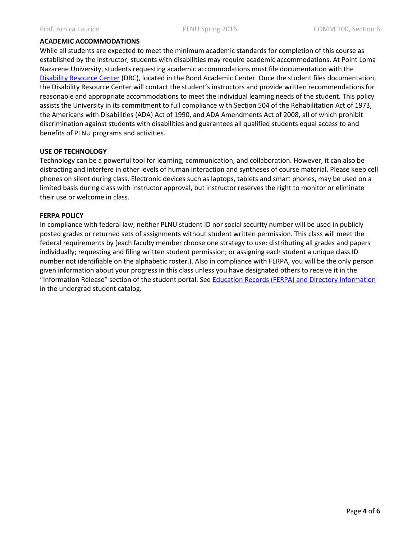## **ACADEMIC ACCOMMODATIONS**

While all students are expected to meet the minimum academic standards for completion of this course as established by the instructor, students with disabilities may require academic accommodations. At Point Loma Nazarene University, students requesting academic accommodations must file documentation with the [Disability Resource Center](http://www.pointloma.edu/experience/offices/administrative-offices/academic-advising-office/disability-resource-center) (DRC), located in the Bond Academic Center. Once the student files documentation, the Disability Resource Center will contact the student's instructors and provide written recommendations for reasonable and appropriate accommodations to meet the individual learning needs of the student. This policy assists the University in its commitment to full compliance with Section 504 of the Rehabilitation Act of 1973, the Americans with Disabilities (ADA) Act of 1990, and ADA Amendments Act of 2008, all of which prohibit discrimination against students with disabilities and guarantees all qualified students equal access to and benefits of PLNU programs and activities.

## **USE OF TECHNOLOGY**

Technology can be a powerful tool for learning, communication, and collaboration. However, it can also be distracting and interfere in other levels of human interaction and syntheses of course material. Please keep cell phones on silent during class. Electronic devices such as laptops, tablets and smart phones, may be used on a limited basis during class with instructor approval, but instructor reserves the right to monitor or eliminate their use or welcome in class.

## **FERPA POLICY**

In compliance with federal law, neither PLNU student ID nor social security number will be used in publicly posted grades or returned sets of assignments without student written permission. This class will meet the federal requirements by (each faculty member choose one strategy to use: distributing all grades and papers individually; requesting and filing written student permission; or assigning each student a unique class ID number not identifiable on the alphabetic roster.). Also in compliance with FERPA, you will be the only person given information about your progress in this class unless you have designated others to receive it in the "Information Release" section of the student portal. See [Education Records \(FERPA\) and Directory Information](http://catalog.pointloma.edu/content.php?catoid=18&navoid=1278#Education_Records__FERPA__and_Directory_Information) in the undergrad student catalog.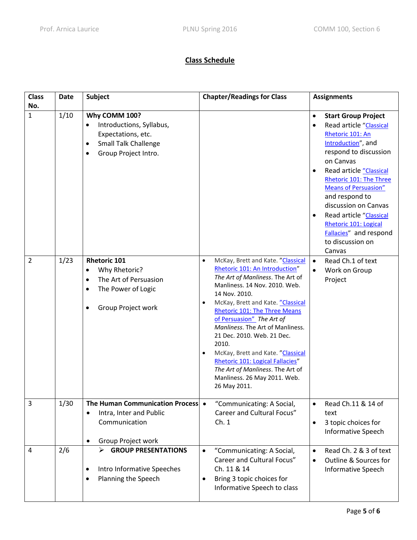# **Class Schedule**

| <b>Class</b><br>No. | <b>Date</b> | <b>Subject</b>                                                                                                                                   | <b>Chapter/Readings for Class</b>                                                                                                                                                                                                                                                                                                                                                                                                                                                                                                                  | <b>Assignments</b>                                                                                                                                                                                                                                                                                                                                                                                                                   |
|---------------------|-------------|--------------------------------------------------------------------------------------------------------------------------------------------------|----------------------------------------------------------------------------------------------------------------------------------------------------------------------------------------------------------------------------------------------------------------------------------------------------------------------------------------------------------------------------------------------------------------------------------------------------------------------------------------------------------------------------------------------------|--------------------------------------------------------------------------------------------------------------------------------------------------------------------------------------------------------------------------------------------------------------------------------------------------------------------------------------------------------------------------------------------------------------------------------------|
| $\mathbf{1}$        | 1/10        | Why COMM 100?<br>Introductions, Syllabus,<br>Expectations, etc.<br><b>Small Talk Challenge</b><br>$\bullet$<br>Group Project Intro.              |                                                                                                                                                                                                                                                                                                                                                                                                                                                                                                                                                    | <b>Start Group Project</b><br>$\bullet$<br>Read article "Classical<br>$\bullet$<br>Rhetoric 101: An<br>Introduction", and<br>respond to discussion<br>on Canvas<br>Read article "Classical<br>$\bullet$<br>Rhetoric 101: The Three<br><b>Means of Persuasion"</b><br>and respond to<br>discussion on Canvas<br>Read article "Classical<br>$\bullet$<br>Rhetoric 101: Logical<br>Fallacies" and respond<br>to discussion on<br>Canvas |
| $\overline{2}$      | 1/23        | <b>Rhetoric 101</b><br>Why Rhetoric?<br>$\bullet$<br>The Art of Persuasion<br>$\bullet$<br>The Power of Logic<br>$\bullet$<br>Group Project work | McKay, Brett and Kate. "Classical<br>$\bullet$<br>Rhetoric 101: An Introduction"<br>The Art of Manliness. The Art of<br>Manliness. 14 Nov. 2010. Web.<br>14 Nov. 2010.<br>McKay, Brett and Kate. "Classical<br>$\bullet$<br><b>Rhetoric 101: The Three Means</b><br>of Persuasion" The Art of<br>Manliness. The Art of Manliness.<br>21 Dec. 2010. Web. 21 Dec.<br>2010.<br>McKay, Brett and Kate. "Classical<br>$\bullet$<br>Rhetoric 101: Logical Fallacies"<br>The Art of Manliness. The Art of<br>Manliness. 26 May 2011. Web.<br>26 May 2011. | $\bullet$<br>Read Ch.1 of text<br>Work on Group<br>$\bullet$<br>Project                                                                                                                                                                                                                                                                                                                                                              |
| 3                   | 1/30        | The Human Communication Process •<br>Intra, Inter and Public<br>$\bullet$<br>Communication<br>Group Project work                                 | "Communicating: A Social,<br>Career and Cultural Focus"<br>Ch.1                                                                                                                                                                                                                                                                                                                                                                                                                                                                                    | Read Ch.11 & 14 of<br>$\bullet$<br>text<br>3 topic choices for<br>$\bullet$<br><b>Informative Speech</b>                                                                                                                                                                                                                                                                                                                             |
| 4                   | 2/6         | $\triangleright$ GROUP PRESENTATIONS<br>Intro Informative Speeches<br>Planning the Speech                                                        | "Communicating: A Social,<br>$\bullet$<br>Career and Cultural Focus"<br>Ch. 11 & 14<br>Bring 3 topic choices for<br>$\bullet$<br>Informative Speech to class                                                                                                                                                                                                                                                                                                                                                                                       | Read Ch. 2 & 3 of text<br>$\bullet$<br>Outline & Sources for<br>$\bullet$<br><b>Informative Speech</b>                                                                                                                                                                                                                                                                                                                               |